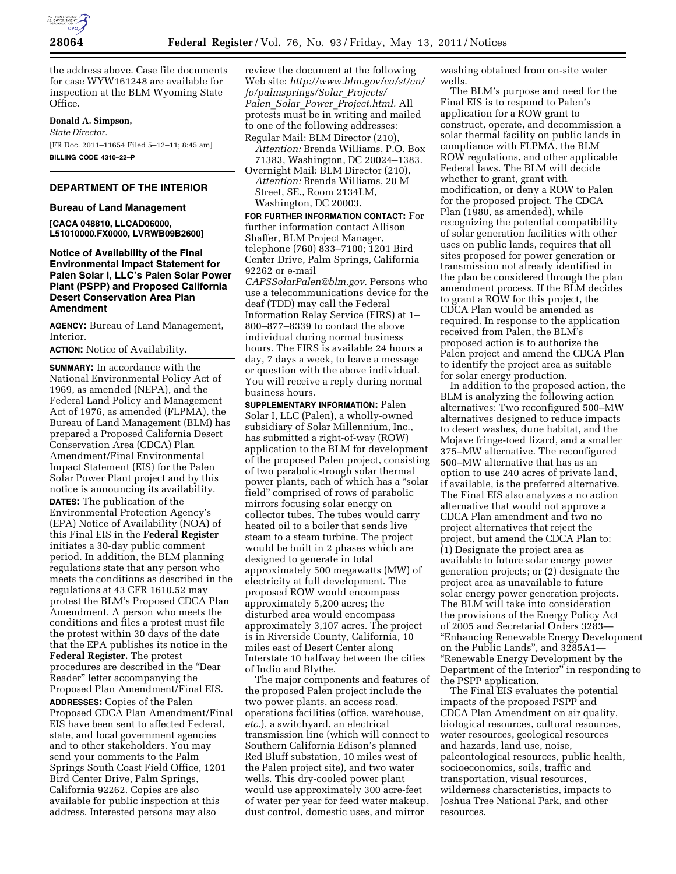

the address above. Case file documents for case WYW161248 are available for inspection at the BLM Wyoming State Office.

#### **Donald A. Simpson,**

*State Director.*  [FR Doc. 2011–11654 Filed 5–12–11; 8:45 am] **BILLING CODE 4310–22–P** 

# **DEPARTMENT OF THE INTERIOR**

#### **Bureau of Land Management**

**[CACA 048810, LLCAD06000, L51010000.FX0000, LVRWB09B2600]** 

## **Notice of Availability of the Final Environmental Impact Statement for Palen Solar I, LLC's Palen Solar Power Plant (PSPP) and Proposed California Desert Conservation Area Plan Amendment**

**AGENCY:** Bureau of Land Management, Interior.

**ACTION:** Notice of Availability.

**SUMMARY:** In accordance with the National Environmental Policy Act of 1969, as amended (NEPA), and the Federal Land Policy and Management Act of 1976, as amended (FLPMA), the Bureau of Land Management (BLM) has prepared a Proposed California Desert Conservation Area (CDCA) Plan Amendment/Final Environmental Impact Statement (EIS) for the Palen Solar Power Plant project and by this notice is announcing its availability. **DATES:** The publication of the Environmental Protection Agency's (EPA) Notice of Availability (NOA) of this Final EIS in the **Federal Register**  initiates a 30-day public comment period. In addition, the BLM planning regulations state that any person who meets the conditions as described in the regulations at 43 CFR 1610.52 may protest the BLM's Proposed CDCA Plan Amendment. A person who meets the conditions and files a protest must file the protest within 30 days of the date that the EPA publishes its notice in the **Federal Register.** The protest procedures are described in the ''Dear Reader'' letter accompanying the Proposed Plan Amendment/Final EIS. **ADDRESSES:** Copies of the Palen Proposed CDCA Plan Amendment/Final EIS have been sent to affected Federal, state, and local government agencies and to other stakeholders. You may send your comments to the Palm Springs South Coast Field Office, 1201 Bird Center Drive, Palm Springs, California 92262. Copies are also available for public inspection at this address. Interested persons may also

review the document at the following Web site: *[http://www.blm.gov/ca/st/en/](http://www.blm.gov/ca/st/en/fo/palmsprings/Solar_Projects/Palen_Solar_Power_Project.html)  [fo/palmsprings/Solar](http://www.blm.gov/ca/st/en/fo/palmsprings/Solar_Projects/Palen_Solar_Power_Project.html)*\_*Projects/ Palen*\_*Solar*\_*Power*\_*[Project.html.](http://www.blm.gov/ca/st/en/fo/palmsprings/Solar_Projects/Palen_Solar_Power_Project.html)* All protests must be in writing and mailed to one of the following addresses: Regular Mail: BLM Director (210),

*Attention:* Brenda Williams, P.O. Box 71383, Washington, DC 20024–1383.

Overnight Mail: BLM Director (210), *Attention:* Brenda Williams, 20 M Street, SE., Room 2134LM, Washington, DC 20003.

**FOR FURTHER INFORMATION CONTACT:** For further information contact Allison Shaffer, BLM Project Manager, telephone (760) 833–7100; 1201 Bird Center Drive, Palm Springs, California 92262 or e-mail

*[CAPSSolarPalen@blm.gov.](mailto:CAPSSolarPalen@blm.gov)* Persons who use a telecommunications device for the deaf (TDD) may call the Federal Information Relay Service (FIRS) at 1– 800–877–8339 to contact the above individual during normal business hours. The FIRS is available 24 hours a day, 7 days a week, to leave a message or question with the above individual. You will receive a reply during normal business hours.

**SUPPLEMENTARY INFORMATION:** Palen Solar I, LLC (Palen), a wholly-owned subsidiary of Solar Millennium, Inc., has submitted a right-of-way (ROW) application to the BLM for development of the proposed Palen project, consisting of two parabolic-trough solar thermal power plants, each of which has a ''solar field'' comprised of rows of parabolic mirrors focusing solar energy on collector tubes. The tubes would carry heated oil to a boiler that sends live steam to a steam turbine. The project would be built in 2 phases which are designed to generate in total approximately 500 megawatts (MW) of electricity at full development. The proposed ROW would encompass approximately 5,200 acres; the disturbed area would encompass approximately 3,107 acres. The project is in Riverside County, California, 10 miles east of Desert Center along Interstate 10 halfway between the cities of Indio and Blythe.

The major components and features of the proposed Palen project include the two power plants, an access road, operations facilities (office, warehouse, *etc.*), a switchyard, an electrical transmission line (which will connect to Southern California Edison's planned Red Bluff substation, 10 miles west of the Palen project site), and two water wells. This dry-cooled power plant would use approximately 300 acre-feet of water per year for feed water makeup, dust control, domestic uses, and mirror

washing obtained from on-site water wells.

The BLM's purpose and need for the Final EIS is to respond to Palen's application for a ROW grant to construct, operate, and decommission a solar thermal facility on public lands in compliance with FLPMA, the BLM ROW regulations, and other applicable Federal laws. The BLM will decide whether to grant, grant with modification, or deny a ROW to Palen for the proposed project. The CDCA Plan (1980, as amended), while recognizing the potential compatibility of solar generation facilities with other uses on public lands, requires that all sites proposed for power generation or transmission not already identified in the plan be considered through the plan amendment process. If the BLM decides to grant a ROW for this project, the CDCA Plan would be amended as required. In response to the application received from Palen, the BLM's proposed action is to authorize the Palen project and amend the CDCA Plan to identify the project area as suitable for solar energy production.

In addition to the proposed action, the BLM is analyzing the following action alternatives: Two reconfigured 500–MW alternatives designed to reduce impacts to desert washes, dune habitat, and the Mojave fringe-toed lizard, and a smaller 375–MW alternative. The reconfigured 500–MW alternative that has as an option to use 240 acres of private land, if available, is the preferred alternative. The Final EIS also analyzes a no action alternative that would not approve a CDCA Plan amendment and two no project alternatives that reject the project, but amend the CDCA Plan to: (1) Designate the project area as available to future solar energy power generation projects; or (2) designate the project area as unavailable to future solar energy power generation projects. The BLM will take into consideration the provisions of the Energy Policy Act of 2005 and Secretarial Orders 3283— ''Enhancing Renewable Energy Development on the Public Lands'', and 3285A1— ''Renewable Energy Development by the Department of the Interior'' in responding to the PSPP application.

The Final EIS evaluates the potential impacts of the proposed PSPP and CDCA Plan Amendment on air quality, biological resources, cultural resources, water resources, geological resources and hazards, land use, noise, paleontological resources, public health, socioeconomics, soils, traffic and transportation, visual resources, wilderness characteristics, impacts to Joshua Tree National Park, and other resources.